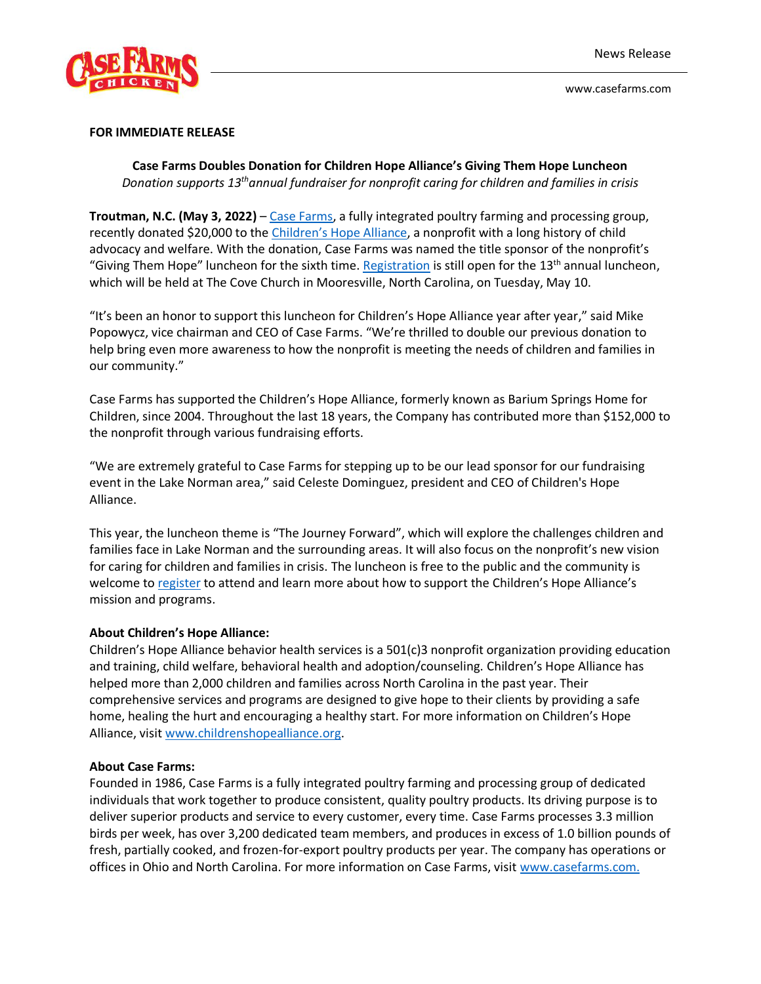

www.casefarms.com

## **FOR IMMEDIATE RELEASE**

**Case Farms Doubles Donation for Children Hope Alliance's Giving Them Hope Luncheon** *Donation supports 13thannual fundraiser for nonprofit caring for children and families in crisis*

**Troutman, N.C. (May 3, 2022)** – [Case Farms,](https://www.casefarms.com/) a fully integrated poultry farming and processing group, recently donated \$20,000 to the [Children's Hope Alliance](https://www.childrenshopealliance.org/), a nonprofit with a long history of child advocacy and welfare. With the donation, Case Farms was named the title sponsor of the nonprofit's "Giving Them Hope" luncheon for the sixth time. [Registration](https://app.mobilecause.com/e/spjdWQ?vid=rhso0) is still open for the  $13<sup>th</sup>$  annual luncheon, which will be held at The Cove Church in Mooresville, North Carolina, on Tuesday, May 10.

"It's been an honor to support this luncheon for Children's Hope Alliance year after year," said Mike Popowycz, vice chairman and CEO of Case Farms. "We're thrilled to double our previous donation to help bring even more awareness to how the nonprofit is meeting the needs of children and families in our community."

Case Farms has supported the Children's Hope Alliance, formerly known as Barium Springs Home for Children, since 2004. Throughout the last 18 years, the Company has contributed more than \$152,000 to the nonprofit through various fundraising efforts.

"We are extremely grateful to Case Farms for stepping up to be our lead sponsor for our fundraising event in the Lake Norman area," said Celeste Dominguez, president and CEO of Children's Hope Alliance.

This year, the luncheon theme is "The Journey Forward", which will explore the challenges children and families face in Lake Norman and the surrounding areas. It will also focus on the nonprofit's new vision for caring for children and families in crisis. The luncheon is free to the public and the community is welcome to [register](https://app.mobilecause.com/e/spjdWQ?vid=rhso0) to attend and learn more about how to support the Children's Hope Alliance's mission and programs.

## **About Children's Hope Alliance:**

Children's Hope Alliance behavior health services is a 501(c)3 nonprofit organization providing education and training, child welfare, behavioral health and adoption/counseling. Children's Hope Alliance has helped more than 2,000 children and families across North Carolina in the past year. Their comprehensive services and programs are designed to give hope to their clients by providing a safe home, healing the hurt and encouraging a healthy start. For more information on Children's Hope Alliance, visit [www.childrenshopealliance.org.](http://www.childrenshopealliance.org/)

## **About Case Farms:**

Founded in 1986, Case Farms is a fully integrated poultry farming and processing group of dedicated individuals that work together to produce consistent, quality poultry products. Its driving purpose is to deliver superior products and service to every customer, every time. Case Farms processes 3.3 million birds per week, has over 3,200 dedicated team members, and produces in excess of 1.0 billion pounds of fresh, partially cooked, and frozen-for-export poultry products per year. The company has operations or offices in Ohio and North Carolina. For more information on Case Farms, visit [www.casefarms.com.](http://www.casefarms.com/)